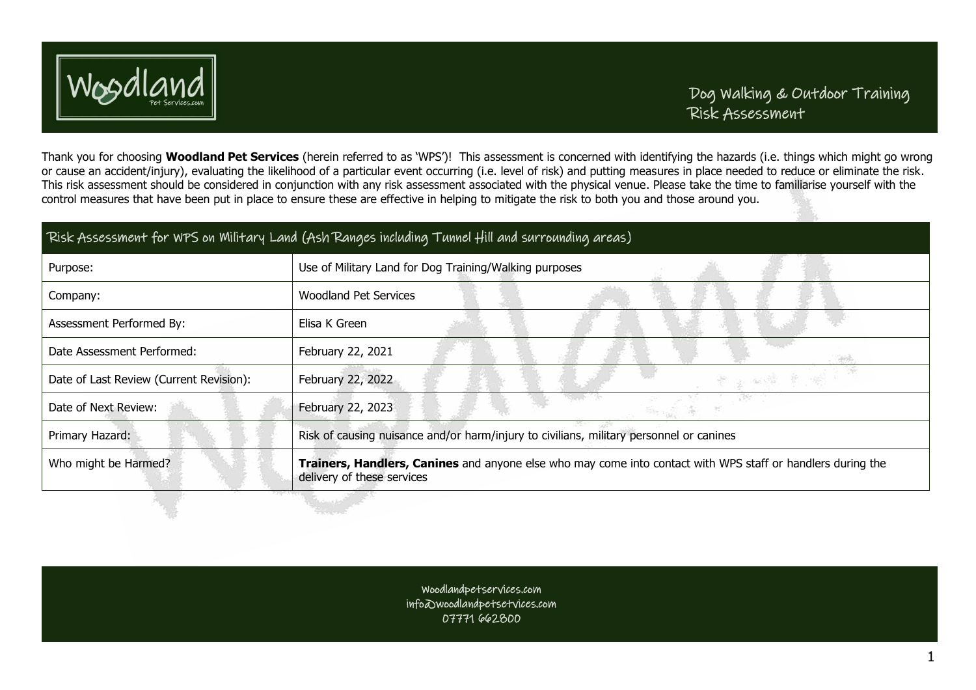

Thank you for choosing **Woodland Pet Services** (herein referred to as 'WPS')! This assessment is concerned with identifying the hazards (i.e. things which might go wrong or cause an accident/injury), evaluating the likelihood of a particular event occurring (i.e. level of risk) and putting measures in place needed to reduce or eliminate the risk. This risk assessment should be considered in conjunction with any risk assessment associated with the physical venue. Please take the time to familiarise yourself with the control measures that have been put in place to ensure these are effective in helping to mitigate the risk to both you and those around you.

| Risk Assessment for WPS on Military Land (Ash Ranges including Tunnel Hill and surrounding areas) |                                                                                                                                           |  |  |
|---------------------------------------------------------------------------------------------------|-------------------------------------------------------------------------------------------------------------------------------------------|--|--|
| Purpose:                                                                                          | Use of Military Land for Dog Training/Walking purposes                                                                                    |  |  |
| Company:                                                                                          | <b>Woodland Pet Services</b>                                                                                                              |  |  |
| Assessment Performed By:                                                                          | Elisa K Green                                                                                                                             |  |  |
| Date Assessment Performed:                                                                        | February 22, 2021                                                                                                                         |  |  |
| Date of Last Review (Current Revision):                                                           | February 22, 2022<br>安全学系                                                                                                                 |  |  |
| Date of Next Review:                                                                              | February 22, 2023                                                                                                                         |  |  |
| Primary Hazard:                                                                                   | Risk of causing nuisance and/or harm/injury to civilians, military personnel or canines                                                   |  |  |
| Who might be Harmed?                                                                              | Trainers, Handlers, Canines and anyone else who may come into contact with WPS staff or handlers during the<br>delivery of these services |  |  |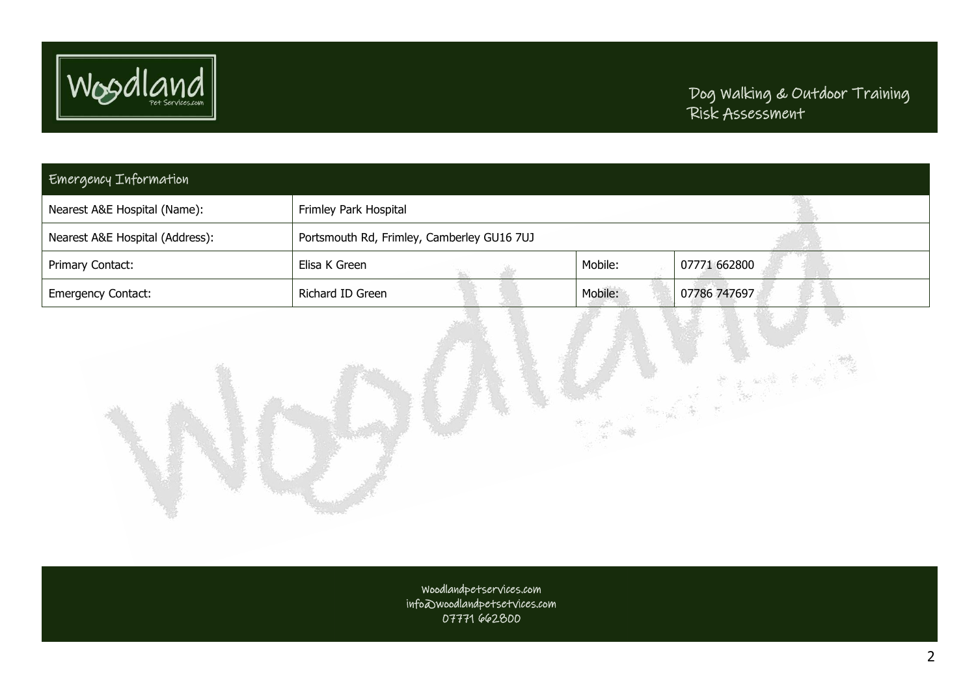

a<br>Linda

| Emergency Information           |                                            |         |              |
|---------------------------------|--------------------------------------------|---------|--------------|
| Nearest A&E Hospital (Name):    | Frimley Park Hospital                      |         |              |
| Nearest A&E Hospital (Address): | Portsmouth Rd, Frimley, Camberley GU16 7UJ |         |              |
| Primary Contact:                | Elisa K Green                              | Mobile: | 07771 662800 |
| <b>Emergency Contact:</b>       | Richard ID Green                           | Mobile: | 07786 747697 |

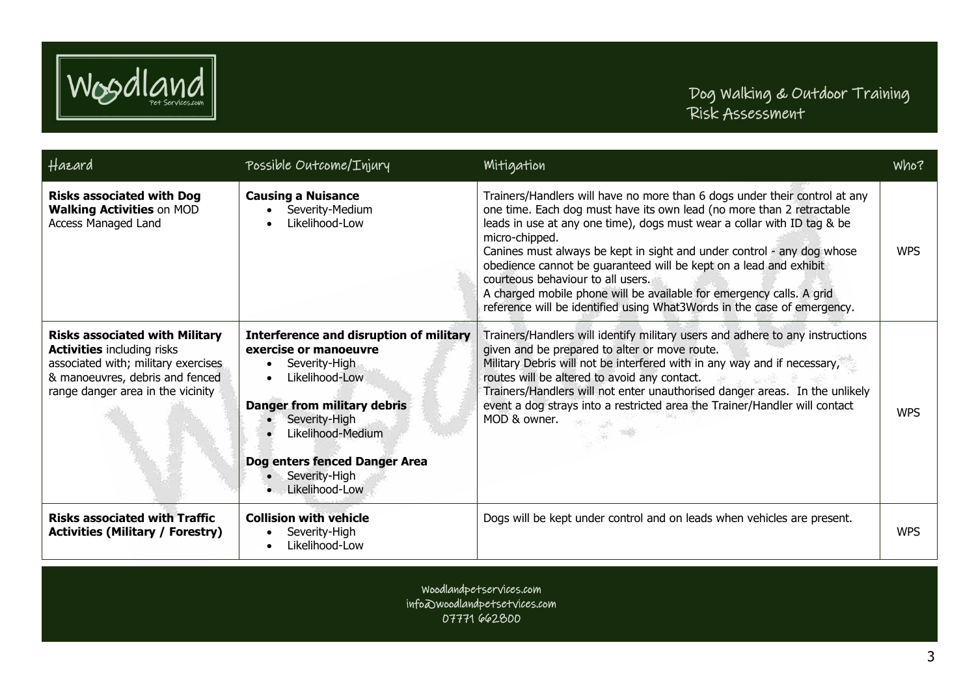

| Hazard                                                                                                                                                                                    | Possible Outcome/Injury                                                                                                                                                                                                                                    | Mitigation                                                                                                                                                                                                                                                                                                                                                                                                                                                                                                                                                                              | Who?       |
|-------------------------------------------------------------------------------------------------------------------------------------------------------------------------------------------|------------------------------------------------------------------------------------------------------------------------------------------------------------------------------------------------------------------------------------------------------------|-----------------------------------------------------------------------------------------------------------------------------------------------------------------------------------------------------------------------------------------------------------------------------------------------------------------------------------------------------------------------------------------------------------------------------------------------------------------------------------------------------------------------------------------------------------------------------------------|------------|
| <b>Risks associated with Dog</b><br><b>Walking Activities on MOD</b><br><b>Access Managed Land</b>                                                                                        | <b>Causing a Nuisance</b><br>Severity-Medium<br>Likelihood-Low                                                                                                                                                                                             | Trainers/Handlers will have no more than 6 dogs under their control at any<br>one time. Each dog must have its own lead (no more than 2 retractable<br>leads in use at any one time), dogs must wear a collar with ID tag & be<br>micro-chipped.<br>Canines must always be kept in sight and under control - any dog whose<br>obedience cannot be guaranteed will be kept on a lead and exhibit<br>courteous behaviour to all users.<br>A charged mobile phone will be available for emergency calls. A grid<br>reference will be identified using What3Words in the case of emergency. | <b>WPS</b> |
| <b>Risks associated with Military</b><br><b>Activities including risks</b><br>associated with; military exercises<br>& manoeuvres, debris and fenced<br>range danger area in the vicinity | <b>Interference and disruption of military</b><br>exercise or manoeuvre<br>Severity-High<br>Likelihood-Low<br><b>Danger from military debris</b><br>Severity-High<br>Likelihood-Medium<br>Dog enters fenced Danger Area<br>Severity-High<br>Likelihood-Low | Trainers/Handlers will identify military users and adhere to any instructions<br>given and be prepared to alter or move route.<br>Military Debris will not be interfered with in any way and if necessary,<br>routes will be altered to avoid any contact.<br>Trainers/Handlers will not enter unauthorised danger areas. In the unlikely<br>event a dog strays into a restricted area the Trainer/Handler will contact<br>MOD & owner.                                                                                                                                                 | <b>WPS</b> |
| <b>Risks associated with Traffic</b><br><b>Activities (Military / Forestry)</b>                                                                                                           | <b>Collision with vehicle</b><br>Severity-High<br>Likelihood-Low                                                                                                                                                                                           | Dogs will be kept under control and on leads when vehicles are present.                                                                                                                                                                                                                                                                                                                                                                                                                                                                                                                 | <b>WPS</b> |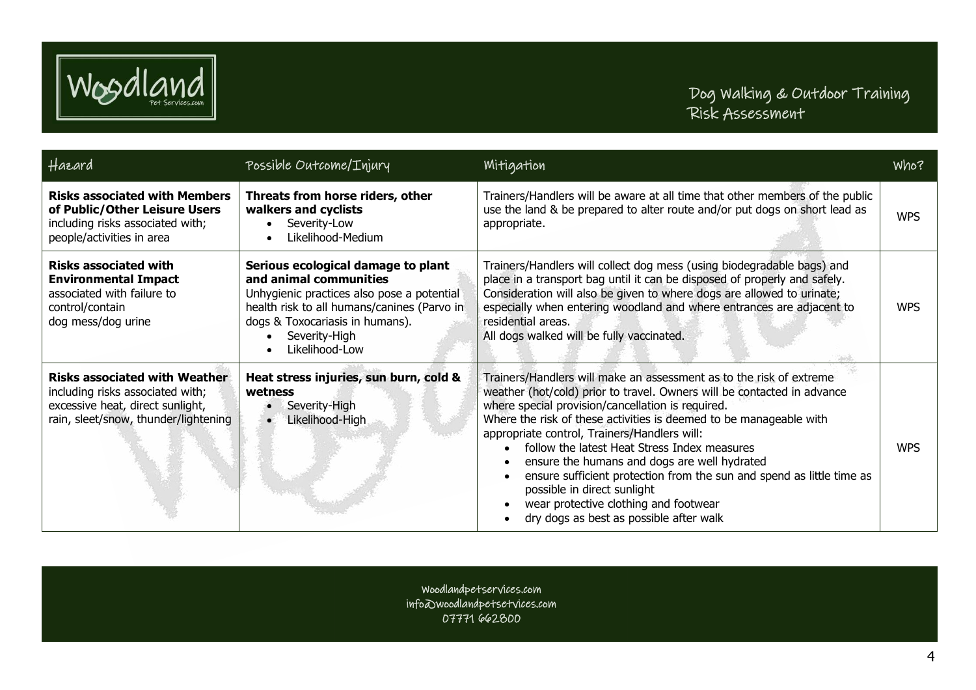

| Hazard                                                                                                                                               | Possible Outcome/Injury                                                                                                                                                                                                         | <b>Mitigation</b>                                                                                                                                                                                                                                                                                                                                                                                                                                                                                                                                                                                                     | Who?       |
|------------------------------------------------------------------------------------------------------------------------------------------------------|---------------------------------------------------------------------------------------------------------------------------------------------------------------------------------------------------------------------------------|-----------------------------------------------------------------------------------------------------------------------------------------------------------------------------------------------------------------------------------------------------------------------------------------------------------------------------------------------------------------------------------------------------------------------------------------------------------------------------------------------------------------------------------------------------------------------------------------------------------------------|------------|
| <b>Risks associated with Members</b><br>of Public/Other Leisure Users<br>including risks associated with;<br>people/activities in area               | Threats from horse riders, other<br>walkers and cyclists<br>Severity-Low<br>Likelihood-Medium                                                                                                                                   | Trainers/Handlers will be aware at all time that other members of the public<br>use the land & be prepared to alter route and/or put dogs on short lead as<br>appropriate.                                                                                                                                                                                                                                                                                                                                                                                                                                            | <b>WPS</b> |
| <b>Risks associated with</b><br><b>Environmental Impact</b><br>associated with failure to<br>control/contain<br>dog mess/dog urine                   | Serious ecological damage to plant<br>and animal communities<br>Unhygienic practices also pose a potential<br>health risk to all humans/canines (Parvo in<br>dogs & Toxocariasis in humans).<br>Severity-High<br>Likelihood-Low | Trainers/Handlers will collect dog mess (using biodegradable bags) and<br>place in a transport bag until it can be disposed of properly and safely.<br>Consideration will also be given to where dogs are allowed to urinate;<br>especially when entering woodland and where entrances are adjacent to<br>residential areas.<br>All dogs walked will be fully vaccinated.                                                                                                                                                                                                                                             | <b>WPS</b> |
| <b>Risks associated with Weather</b><br>including risks associated with;<br>excessive heat, direct sunlight,<br>rain, sleet/snow, thunder/lightening | Heat stress injuries, sun burn, cold &<br>wetness<br>Severity-High<br>Likelihood-High<br>$\bullet$                                                                                                                              | Trainers/Handlers will make an assessment as to the risk of extreme<br>weather (hot/cold) prior to travel. Owners will be contacted in advance<br>where special provision/cancellation is required.<br>Where the risk of these activities is deemed to be manageable with<br>appropriate control, Trainers/Handlers will:<br>follow the latest Heat Stress Index measures<br>ensure the humans and dogs are well hydrated<br>ensure sufficient protection from the sun and spend as little time as<br>possible in direct sunlight<br>wear protective clothing and footwear<br>dry dogs as best as possible after walk | <b>WPS</b> |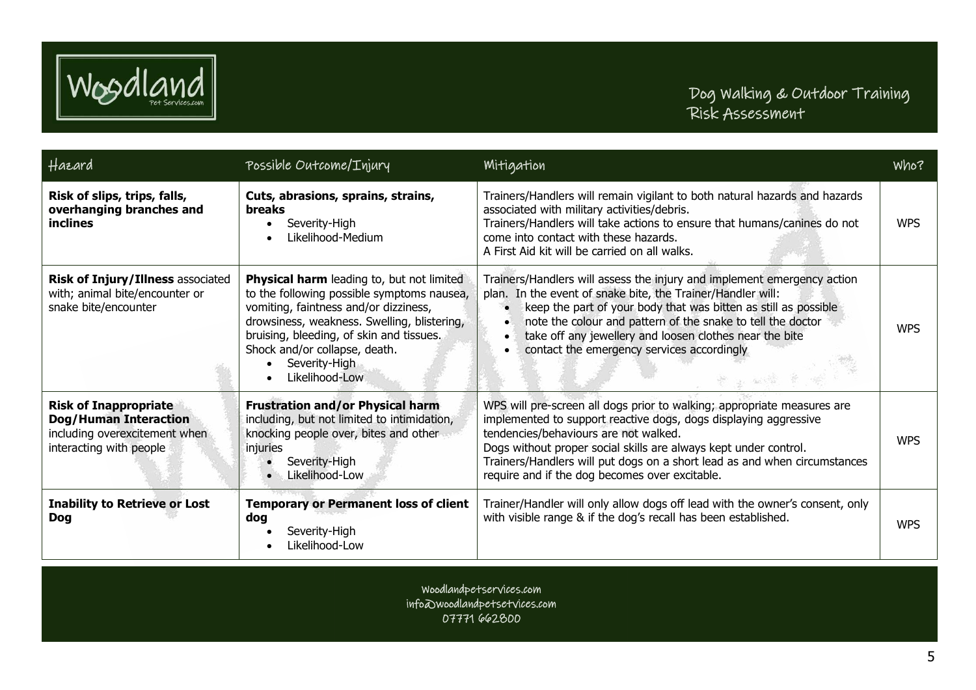

| Hazard                                                                                                                   | Possible Outcome/Injury                                                                                                                                                                                                                                                                         | Mitigation                                                                                                                                                                                                                                                                                                                                                                              | Who?       |
|--------------------------------------------------------------------------------------------------------------------------|-------------------------------------------------------------------------------------------------------------------------------------------------------------------------------------------------------------------------------------------------------------------------------------------------|-----------------------------------------------------------------------------------------------------------------------------------------------------------------------------------------------------------------------------------------------------------------------------------------------------------------------------------------------------------------------------------------|------------|
| Risk of slips, trips, falls,<br>overhanging branches and<br>inclines                                                     | Cuts, abrasions, sprains, strains,<br>breaks<br>Severity-High<br>Likelihood-Medium                                                                                                                                                                                                              | Trainers/Handlers will remain vigilant to both natural hazards and hazards<br>associated with military activities/debris.<br>Trainers/Handlers will take actions to ensure that humans/canines do not<br>come into contact with these hazards.<br>A First Aid kit will be carried on all walks.                                                                                         | <b>WPS</b> |
| Risk of Injury/Illness associated<br>with; animal bite/encounter or<br>snake bite/encounter                              | Physical harm leading to, but not limited<br>to the following possible symptoms nausea,<br>vomiting, faintness and/or dizziness,<br>drowsiness, weakness. Swelling, blistering,<br>bruising, bleeding, of skin and tissues.<br>Shock and/or collapse, death.<br>Severity-High<br>Likelihood-Low | Trainers/Handlers will assess the injury and implement emergency action<br>plan. In the event of snake bite, the Trainer/Handler will:<br>keep the part of your body that was bitten as still as possible<br>note the colour and pattern of the snake to tell the doctor<br>take off any jewellery and loosen clothes near the bite<br>contact the emergency services accordingly       | <b>WPS</b> |
| <b>Risk of Inappropriate</b><br><b>Dog/Human Interaction</b><br>including overexcitement when<br>interacting with people | <b>Frustration and/or Physical harm</b><br>including, but not limited to intimidation,<br>knocking people over, bites and other<br>injuries<br>Severity-High<br>Likelihood-Low                                                                                                                  | WPS will pre-screen all dogs prior to walking; appropriate measures are<br>implemented to support reactive dogs, dogs displaying aggressive<br>tendencies/behaviours are not walked.<br>Dogs without proper social skills are always kept under control.<br>Trainers/Handlers will put dogs on a short lead as and when circumstances<br>require and if the dog becomes over excitable. | <b>WPS</b> |
| <b>Inability to Retrieve or Lost</b><br><b>Dog</b>                                                                       | <b>Temporary or Permanent loss of client</b><br>dog<br>Severity-High<br>Likelihood-Low                                                                                                                                                                                                          | Trainer/Handler will only allow dogs off lead with the owner's consent, only<br>with visible range & if the dog's recall has been established.                                                                                                                                                                                                                                          | <b>WPS</b> |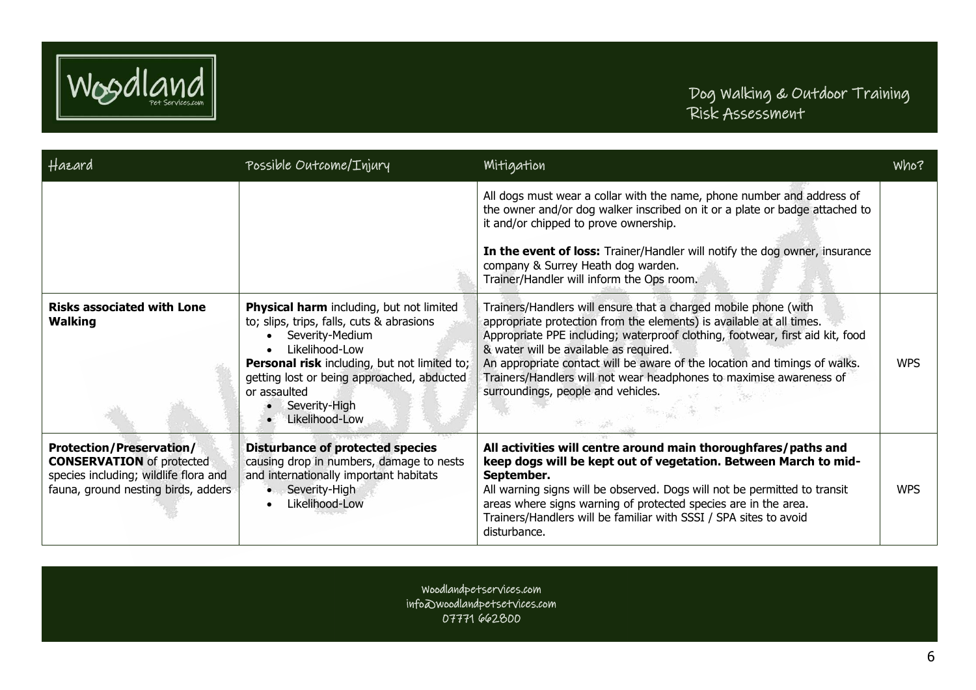

| Hazard                                                                                                                                              | Possible Outcome/Injury                                                                                                                                                                                                                                                            | Mitigation                                                                                                                                                                                                                                                                                                                                                                                                                                                    | Who?       |
|-----------------------------------------------------------------------------------------------------------------------------------------------------|------------------------------------------------------------------------------------------------------------------------------------------------------------------------------------------------------------------------------------------------------------------------------------|---------------------------------------------------------------------------------------------------------------------------------------------------------------------------------------------------------------------------------------------------------------------------------------------------------------------------------------------------------------------------------------------------------------------------------------------------------------|------------|
|                                                                                                                                                     |                                                                                                                                                                                                                                                                                    | All dogs must wear a collar with the name, phone number and address of<br>the owner and/or dog walker inscribed on it or a plate or badge attached to<br>it and/or chipped to prove ownership.                                                                                                                                                                                                                                                                |            |
|                                                                                                                                                     |                                                                                                                                                                                                                                                                                    | In the event of loss: Trainer/Handler will notify the dog owner, insurance<br>company & Surrey Heath dog warden.<br>Trainer/Handler will inform the Ops room.                                                                                                                                                                                                                                                                                                 |            |
| <b>Risks associated with Lone</b><br><b>Walking</b>                                                                                                 | Physical harm including, but not limited<br>to; slips, trips, falls, cuts & abrasions<br>Severity-Medium<br>Likelihood-Low<br><b>Personal risk including, but not limited to;</b><br>getting lost or being approached, abducted<br>or assaulted<br>Severity-High<br>Likelihood-Low | Trainers/Handlers will ensure that a charged mobile phone (with<br>appropriate protection from the elements) is available at all times.<br>Appropriate PPE including; waterproof clothing, footwear, first aid kit, food<br>& water will be available as required.<br>An appropriate contact will be aware of the location and timings of walks.<br>Trainers/Handlers will not wear headphones to maximise awareness of<br>surroundings, people and vehicles. | <b>WPS</b> |
| <b>Protection/Preservation/</b><br><b>CONSERVATION</b> of protected<br>species including; wildlife flora and<br>fauna, ground nesting birds, adders | <b>Disturbance of protected species</b><br>causing drop in numbers, damage to nests<br>and internationally important habitats<br>Severity-High<br>$\bullet$<br>Likelihood-Low                                                                                                      | All activities will centre around main thoroughfares/paths and<br>keep dogs will be kept out of vegetation. Between March to mid-<br>September.<br>All warning signs will be observed. Dogs will not be permitted to transit<br>areas where signs warning of protected species are in the area.<br>Trainers/Handlers will be familiar with SSSI / SPA sites to avoid<br>disturbance.                                                                          | <b>WPS</b> |